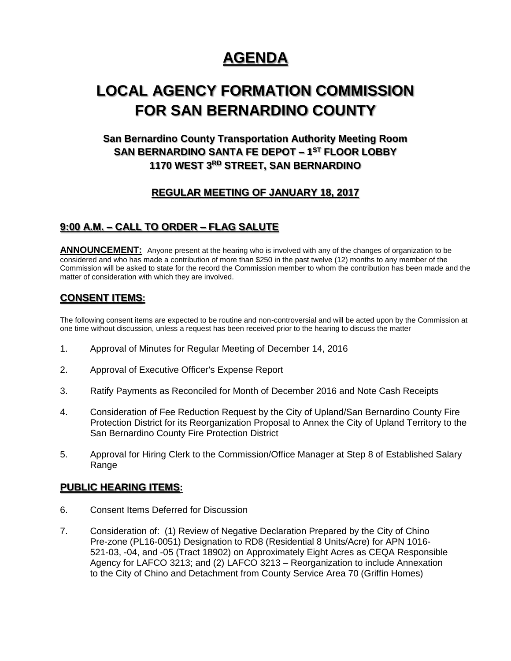# **AGENDA**

# **LOCAL AGENCY FORMATION COMMISSION FOR SAN BERNARDINO COUNTY**

# **San Bernardino County Transportation Authority Meeting Room SAN BERNARDINO SANTA FE DEPOT – 1 ST FLOOR LOBBY 1170 WEST 3RD STREET, SAN BERNARDINO**

## **REGULAR MEETING OF JANUARY 18, 2017**

### **9:00 A.M. – CALL TO ORDER – FLAG SALUTE**

**ANNOUNCEMENT:** Anyone present at the hearing who is involved with any of the changes of organization to be considered and who has made a contribution of more than \$250 in the past twelve (12) months to any member of the Commission will be asked to state for the record the Commission member to whom the contribution has been made and the matter of consideration with which they are involved.

### **CONSENT ITEMS:**

The following consent items are expected to be routine and non-controversial and will be acted upon by the Commission at one time without discussion, unless a request has been received prior to the hearing to discuss the matter

- 1. Approval of Minutes for Regular Meeting of December 14, 2016
- 2. Approval of Executive Officer's Expense Report
- 3. Ratify Payments as Reconciled for Month of December 2016 and Note Cash Receipts
- 4. Consideration of Fee Reduction Request by the City of Upland/San Bernardino County Fire Protection District for its Reorganization Proposal to Annex the City of Upland Territory to the San Bernardino County Fire Protection District
- 5. Approval for Hiring Clerk to the Commission/Office Manager at Step 8 of Established Salary Range

#### **PUBLIC HEARING ITEMS:**

- 6. Consent Items Deferred for Discussion
- 7. Consideration of: (1) Review of Negative Declaration Prepared by the City of Chino Pre-zone (PL16-0051) Designation to RD8 (Residential 8 Units/Acre) for APN 1016- 521-03, -04, and -05 (Tract 18902) on Approximately Eight Acres as CEQA Responsible Agency for LAFCO 3213; and (2) LAFCO 3213 – Reorganization to include Annexation to the City of Chino and Detachment from County Service Area 70 (Griffin Homes)